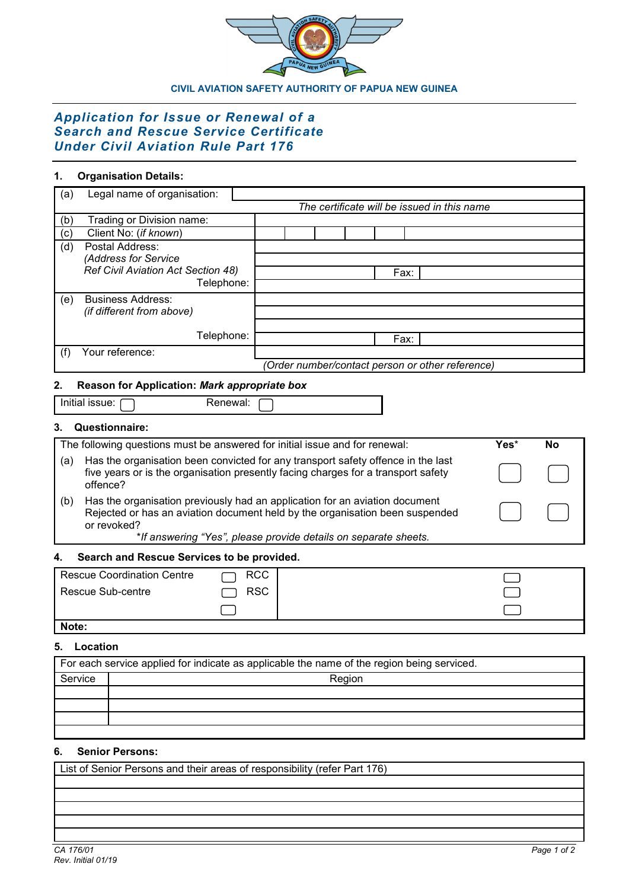

### **CIVIL AVIATION SAFETY AUTHORITY OF PAPUA NEW GUINEA**

# *Application for Issue or Renewal of a Search and Rescue Service Certificate Under Civil Aviation Rule Part 176*

# **1. Organisation Details:**

| (a) | Legal name of organisation:               |                                                  |
|-----|-------------------------------------------|--------------------------------------------------|
|     |                                           | The certificate will be issued in this name      |
| (b) | Trading or Division name:                 |                                                  |
| (c) | Client No: (if known)                     |                                                  |
| (d) | Postal Address:                           |                                                  |
|     | (Address for Service                      |                                                  |
|     | <b>Ref Civil Aviation Act Section 48)</b> | Fax:                                             |
|     | Telephone:                                |                                                  |
| (e) | <b>Business Address:</b>                  |                                                  |
|     | (if different from above)                 |                                                  |
|     |                                           |                                                  |
|     | Telephone:                                | Fax:                                             |
|     | Your reference:                           |                                                  |
|     |                                           | (Order number/contact person or other reference) |

# **2. Reason for Application:** *Mark appropriate box*

| Initial issue: |
|----------------|
|----------------|

Renewal:

# **3. Questionnaire:**

| The following questions must be answered for initial issue and for renewal: |                                                                                                                                                                                   |  | Nο |
|-----------------------------------------------------------------------------|-----------------------------------------------------------------------------------------------------------------------------------------------------------------------------------|--|----|
| l (a)                                                                       | Has the organisation been convicted for any transport safety offence in the last<br>five years or is the organisation presently facing charges for a transport safety<br>offence? |  |    |
| (b)                                                                         | Has the organisation previously had an application for an aviation document<br>Rejected or has an aviation document held by the organisation been suspended<br>or revoked?        |  |    |
|                                                                             | *If answering "Yes", please provide details on separate sheets.                                                                                                                   |  |    |

# **4. Search and Rescue Services to be provided.**

| Rescue Coordination Centre | <b>RCC</b> |  |
|----------------------------|------------|--|
| l Rescue Sub-centre        | <b>RSC</b> |  |
|                            |            |  |

# **Note:**

# **5. Location**

| For each service applied for indicate as applicable the name of the region being serviced. |        |  |  |
|--------------------------------------------------------------------------------------------|--------|--|--|
| Service                                                                                    | Region |  |  |
|                                                                                            |        |  |  |
|                                                                                            |        |  |  |
|                                                                                            |        |  |  |
|                                                                                            |        |  |  |

# **6. Senior Persons:**

List of Senior Persons and their areas of responsibility (refer Part 176)